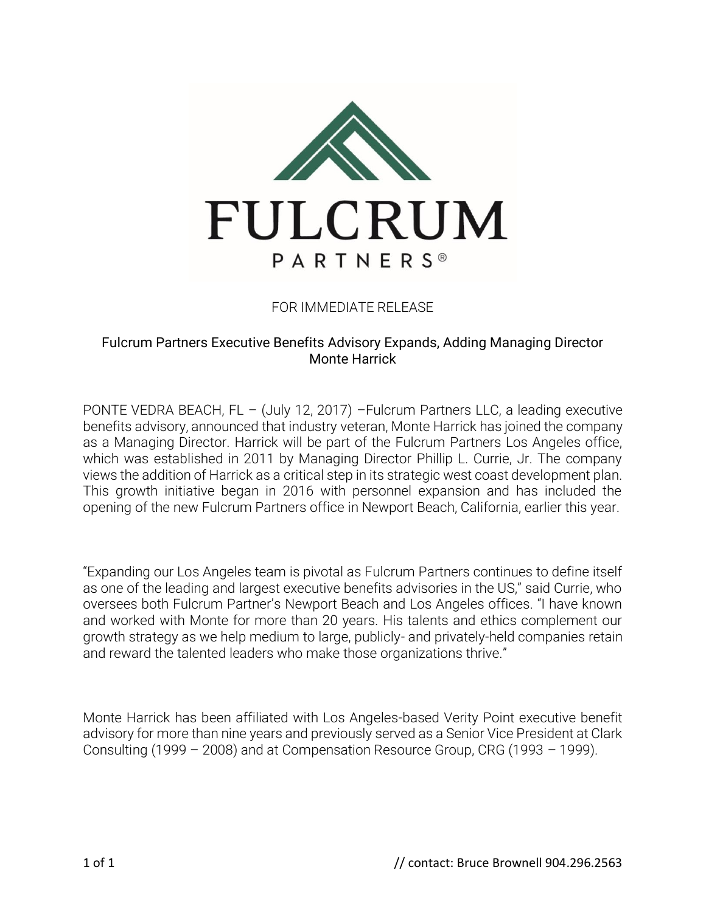

## FOR IMMEDIATE RELEASE

## Fulcrum Partners Executive Benefits Advisory Expands, Adding Managing Director Monte Harrick

PONTE VEDRA BEACH, FL – (July 12, 2017) –Fulcrum Partners LLC, a leading executive benefits advisory, announced that industry veteran, Monte Harrick has joined the company as a Managing Director. Harrick will be part of the Fulcrum Partners Los Angeles office, which was established in 2011 by Managing Director Phillip L. Currie, Jr. The company views the addition of Harrick as a critical step in its strategic west coast development plan. This growth initiative began in 2016 with personnel expansion and has included the opening of the new Fulcrum Partners office in Newport Beach, California, earlier this year.

"Expanding our Los Angeles team is pivotal as Fulcrum Partners continues to define itself as one of the leading and largest executive benefits advisories in the US," said Currie, who oversees both Fulcrum Partner's Newport Beach and Los Angeles offices. "I have known and worked with Monte for more than 20 years. His talents and ethics complement our growth strategy as we help medium to large, publicly- and privately-held companies retain and reward the talented leaders who make those organizations thrive."

Monte Harrick has been affiliated with Los Angeles-based Verity Point executive benefit advisory for more than nine years and previously served as a Senior Vice President at Clark Consulting (1999 – 2008) and at Compensation Resource Group, CRG (1993 – 1999).